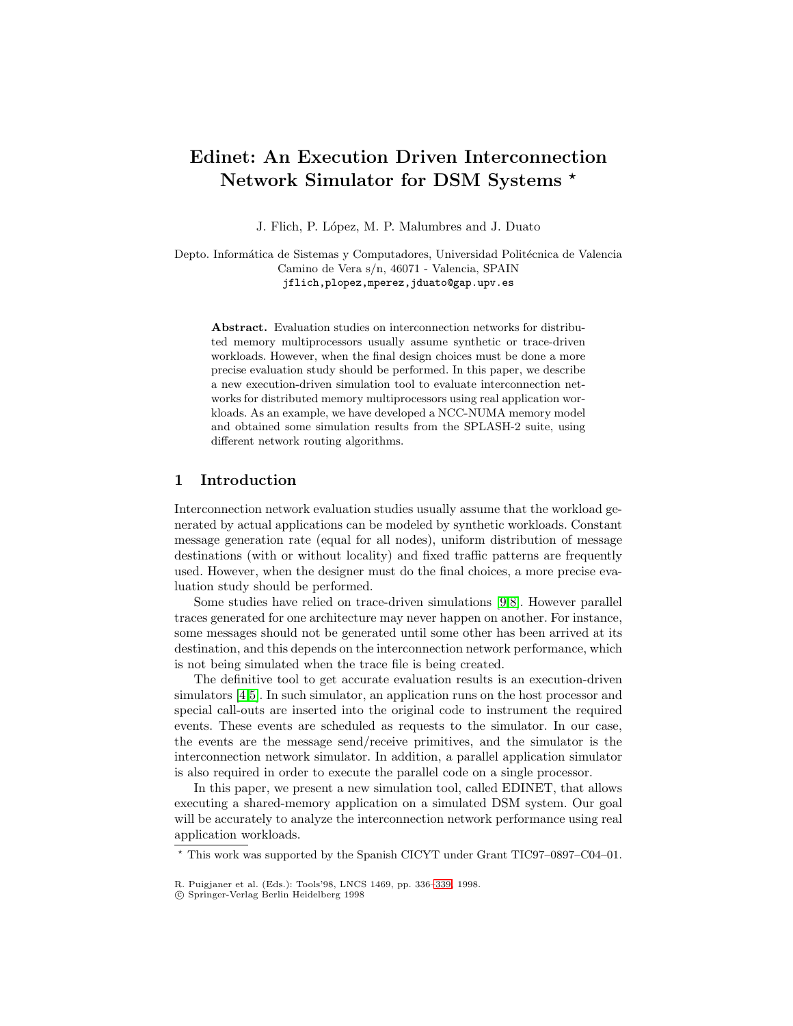# **Edinet: An Execution Driven Interconnection Network Simulator for DSM Systems** *?*

J. Flich, P. López, M. P. Malumbres and J. Duato

Depto. Informática de Sistemas y Computadores, Universidad Politécnica de Valencia Camino de Vera s/n, 46071 - Valencia, SPAIN jflich,plopez,mperez,jduato@gap.upv.es

**Abstract.** Evaluation studies on interconnection networks for distributed memory multiprocessors usually assume synthetic or trace-driven workloads. However, when the final design choices must be done a more precise evaluation study should be performed. In this paper, we describe a new execution-driven simulation tool to evaluate interconnection networks for distributed memory multiprocessors using real application workloads. As an example, we have developed a NCC-NUMA memory model and obtained some simulation results from the SPLASH-2 suite, using different network routing algorithms.

## **1 Introduction**

Interconnection network evaluation studies usually assume that the workload generated by actual applications can be modeled by synthetic workloads. Constant message generation rate (equal for all nodes), uniform distribution of message destinations (with or without locality) and fixed traffic patterns are frequently used. However, when the designer must do the final choices, a more precise evaluation study should be performed.

Some studies have relied on trace-driven simulations [\[9,8\]](#page-3-0). However parallel traces generated for one architecture may never happen on another. For instance, some messages should not be generated until some other has been arrived at its destination, and this depends on the interconnection network performance, which is not being simulated when the trace file is being created.

The definitive tool to get accurate evaluation results is an execution-driven simulators [\[4,5\]](#page-3-0). In such simulator, an application runs on the host processor and special call-outs are inserted into the original code to instrument the required events. These events are scheduled as requests to the simulator. In our case, the events are the message send/receive primitives, and the simulator is the interconnection network simulator. In addition, a parallel application simulator is also required in order to execute the parallel code on a single processor.

In this paper, we present a new simulation tool, called EDINET, that allows executing a shared-memory application on a simulated DSM system. Our goal will be accurately to analyze the interconnection network performance using real application workloads.

? This work was supported by the Spanish CICYT under Grant TIC97–0897–C04–01.

R. Puigjaner et al. (Eds.): Tools'98, LNCS 1469, pp. 336[–339,](#page-3-0) 1998.

c Springer-Verlag Berlin Heidelberg 1998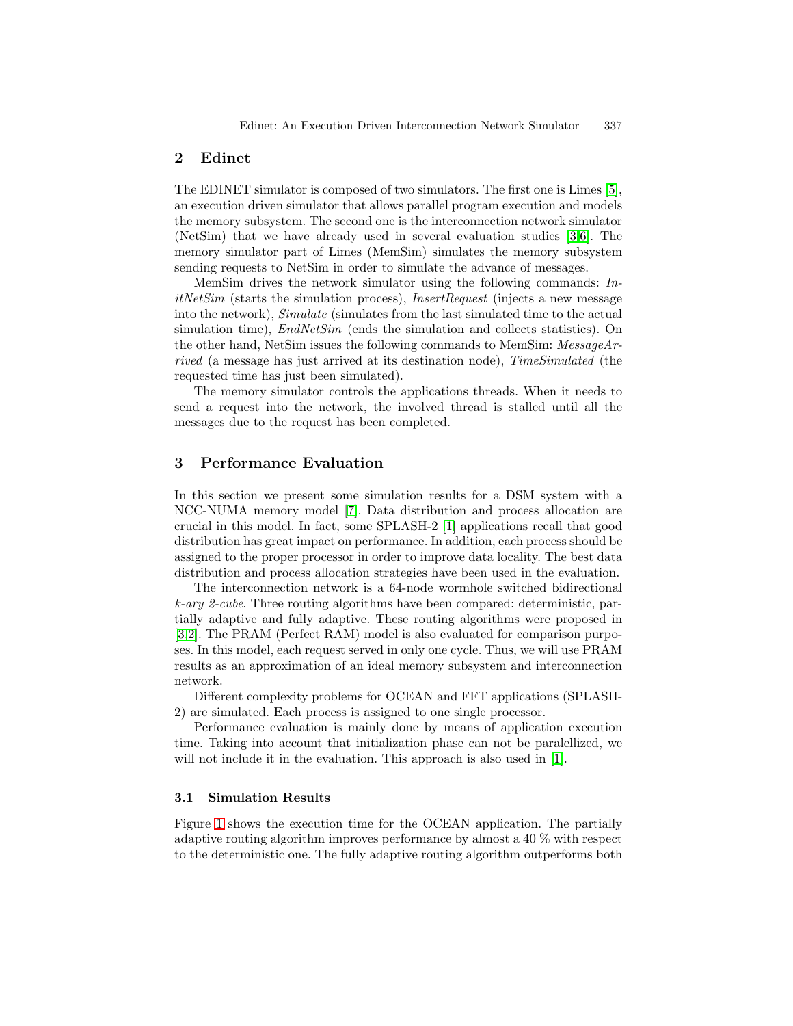## **2 Edinet**

The EDINET simulator is composed of two simulators. The first one is Limes [\[5\]](#page-3-0), an execution driven simulator that allows parallel program execution and models the memory subsystem. The second one is the interconnection network simulator (NetSim) that we have already used in several evaluation studies [\[3,6\]](#page-3-0). The memory simulator part of Limes (MemSim) simulates the memory subsystem sending requests to NetSim in order to simulate the advance of messages.

MemSim drives the network simulator using the following commands: In $itNetSim$  (starts the simulation process), *InsertRequest* (injects a new message into the network), Simulate (simulates from the last simulated time to the actual simulation time), *EndNetSim* (ends the simulation and collects statistics). On the other hand, NetSim issues the following commands to MemSim: MessageArrived (a message has just arrived at its destination node), TimeSimulated (the requested time has just been simulated).

The memory simulator controls the applications threads. When it needs to send a request into the network, the involved thread is stalled until all the messages due to the request has been completed.

## **3 Performance Evaluation**

In this section we present some simulation results for a DSM system with a NCC-NUMA memory model [\[7\]](#page-3-0). Data distribution and process allocation are crucial in this model. In fact, some SPLASH-2 [\[1\]](#page-3-0) applications recall that good distribution has great impact on performance. In addition, each process should be assigned to the proper processor in order to improve data locality. The best data distribution and process allocation strategies have been used in the evaluation.

The interconnection network is a 64-node wormhole switched bidirectional k-ary 2-cube. Three routing algorithms have been compared: deterministic, partially adaptive and fully adaptive. These routing algorithms were proposed in [\[3,2\]](#page-3-0). The PRAM (Perfect RAM) model is also evaluated for comparison purposes. In this model, each request served in only one cycle. Thus, we will use PRAM results as an approximation of an ideal memory subsystem and interconnection network.

Different complexity problems for OCEAN and FFT applications (SPLASH-2) are simulated. Each process is assigned to one single processor.

Performance evaluation is mainly done by means of application execution time. Taking into account that initialization phase can not be paralellized, we will not include it in the evaluation. This approach is also used in [\[1\]](#page-3-0).

#### **3.1 Simulation Results**

Figure [1](#page-2-0) shows the execution time for the OCEAN application. The partially adaptive routing algorithm improves performance by almost a 40 % with respect to the deterministic one. The fully adaptive routing algorithm outperforms both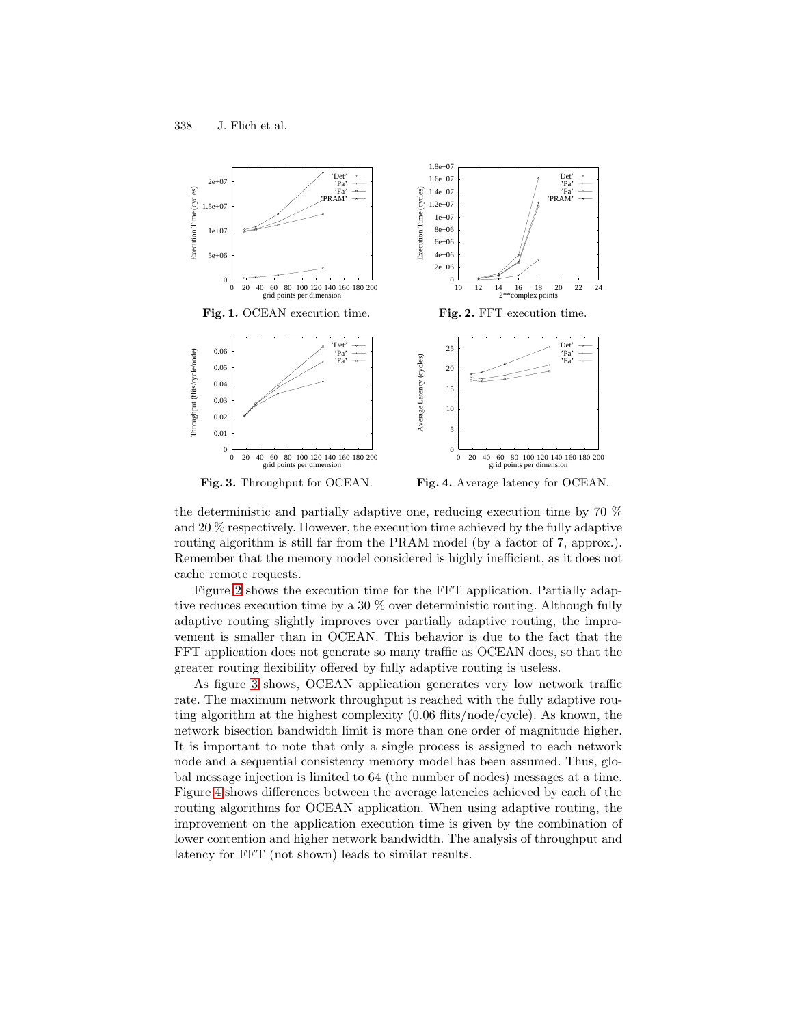<span id="page-2-0"></span>

**Fig. 3.** Throughput for OCEAN.

**Fig. 4.** Average latency for OCEAN.

the deterministic and partially adaptive one, reducing execution time by 70 % and 20 % respectively. However, the execution time achieved by the fully adaptive routing algorithm is still far from the PRAM model (by a factor of 7, approx.). Remember that the memory model considered is highly inefficient, as it does not cache remote requests.

Figure 2 shows the execution time for the FFT application. Partially adaptive reduces execution time by a 30 % over deterministic routing. Although fully adaptive routing slightly improves over partially adaptive routing, the improvement is smaller than in OCEAN. This behavior is due to the fact that the FFT application does not generate so many traffic as OCEAN does, so that the greater routing flexibility offered by fully adaptive routing is useless.

As figure 3 shows, OCEAN application generates very low network traffic rate. The maximum network throughput is reached with the fully adaptive routing algorithm at the highest complexity (0.06 flits/node/cycle). As known, the network bisection bandwidth limit is more than one order of magnitude higher. It is important to note that only a single process is assigned to each network node and a sequential consistency memory model has been assumed. Thus, global message injection is limited to 64 (the number of nodes) messages at a time. Figure 4 shows differences between the average latencies achieved by each of the routing algorithms for OCEAN application. When using adaptive routing, the improvement on the application execution time is given by the combination of lower contention and higher network bandwidth. The analysis of throughput and latency for FFT (not shown) leads to similar results.